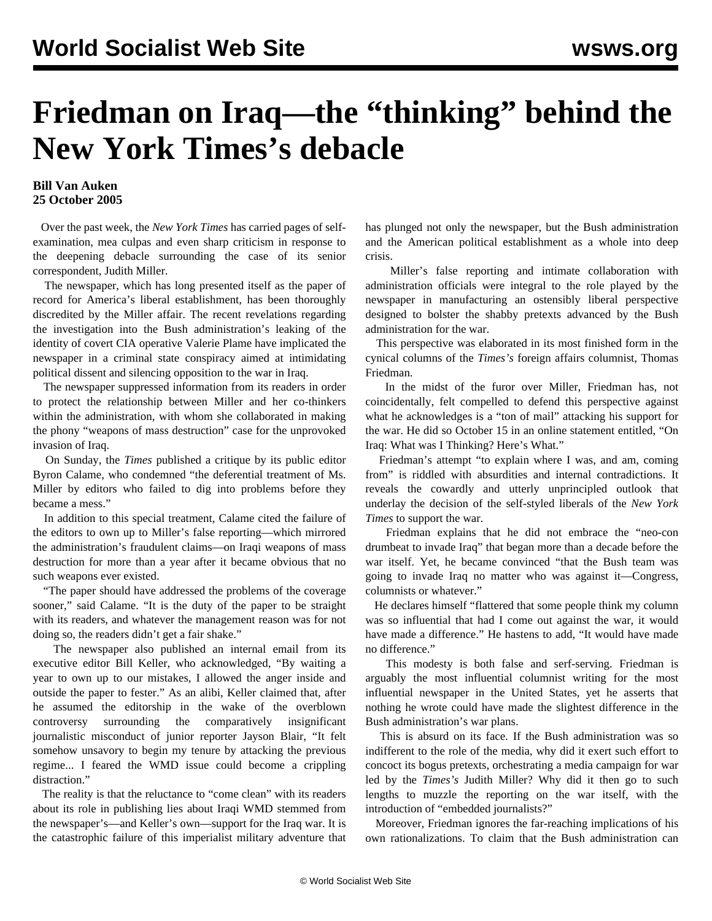## **Friedman on Iraq—the "thinking" behind the New York Times's debacle**

## **Bill Van Auken 25 October 2005**

 Over the past week, the *New York Times* has carried pages of selfexamination, mea culpas and even sharp criticism in response to the deepening debacle surrounding the case of its senior correspondent, Judith Miller.

 The newspaper, which has long presented itself as the paper of record for America's liberal establishment, has been thoroughly discredited by the Miller affair. The recent revelations regarding the investigation into the Bush administration's leaking of the identity of covert CIA operative Valerie Plame have implicated the newspaper in a criminal state conspiracy aimed at intimidating political dissent and silencing opposition to the war in Iraq.

 The newspaper suppressed information from its readers in order to protect the relationship between Miller and her co-thinkers within the administration, with whom she collaborated in making the phony "weapons of mass destruction" case for the unprovoked invasion of Iraq.

 On Sunday, the *Times* published a critique by its public editor Byron Calame, who condemned "the deferential treatment of Ms. Miller by editors who failed to dig into problems before they became a mess."

 In addition to this special treatment, Calame cited the failure of the editors to own up to Miller's false reporting—which mirrored the administration's fraudulent claims—on Iraqi weapons of mass destruction for more than a year after it became obvious that no such weapons ever existed.

 "The paper should have addressed the problems of the coverage sooner," said Calame. "It is the duty of the paper to be straight with its readers, and whatever the management reason was for not doing so, the readers didn't get a fair shake."

 The newspaper also published an internal email from its executive editor Bill Keller, who acknowledged, "By waiting a year to own up to our mistakes, I allowed the anger inside and outside the paper to fester." As an alibi, Keller claimed that, after he assumed the editorship in the wake of the overblown controversy surrounding the comparatively insignificant journalistic misconduct of junior reporter Jayson Blair, "It felt somehow unsavory to begin my tenure by attacking the previous regime... I feared the WMD issue could become a crippling distraction."

 The reality is that the reluctance to "come clean" with its readers about its role in publishing lies about Iraqi WMD stemmed from the newspaper's—and Keller's own—support for the Iraq war. It is the catastrophic failure of this imperialist military adventure that has plunged not only the newspaper, but the Bush administration and the American political establishment as a whole into deep crisis.

 Miller's false reporting and intimate collaboration with administration officials were integral to the role played by the newspaper in manufacturing an ostensibly liberal perspective designed to bolster the shabby pretexts advanced by the Bush administration for the war.

 This perspective was elaborated in its most finished form in the cynical columns of the *Times's* foreign affairs columnist, Thomas Friedman.

 In the midst of the furor over Miller, Friedman has, not coincidentally, felt compelled to defend this perspective against what he acknowledges is a "ton of mail" attacking his support for the war. He did so October 15 in an online statement entitled, "On Iraq: What was I Thinking? Here's What."

 Friedman's attempt "to explain where I was, and am, coming from" is riddled with absurdities and internal contradictions. It reveals the cowardly and utterly unprincipled outlook that underlay the decision of the self-styled liberals of the *New York Times* to support the war.

 Friedman explains that he did not embrace the "neo-con drumbeat to invade Iraq" that began more than a decade before the war itself. Yet, he became convinced "that the Bush team was going to invade Iraq no matter who was against it—Congress, columnists or whatever."

 He declares himself "flattered that some people think my column was so influential that had I come out against the war, it would have made a difference." He hastens to add, "It would have made no difference."

 This modesty is both false and serf-serving. Friedman is arguably the most influential columnist writing for the most influential newspaper in the United States, yet he asserts that nothing he wrote could have made the slightest difference in the Bush administration's war plans.

 This is absurd on its face. If the Bush administration was so indifferent to the role of the media, why did it exert such effort to concoct its bogus pretexts, orchestrating a media campaign for war led by the *Times's* Judith Miller? Why did it then go to such lengths to muzzle the reporting on the war itself, with the introduction of "embedded journalists?"

 Moreover, Friedman ignores the far-reaching implications of his own rationalizations. To claim that the Bush administration can